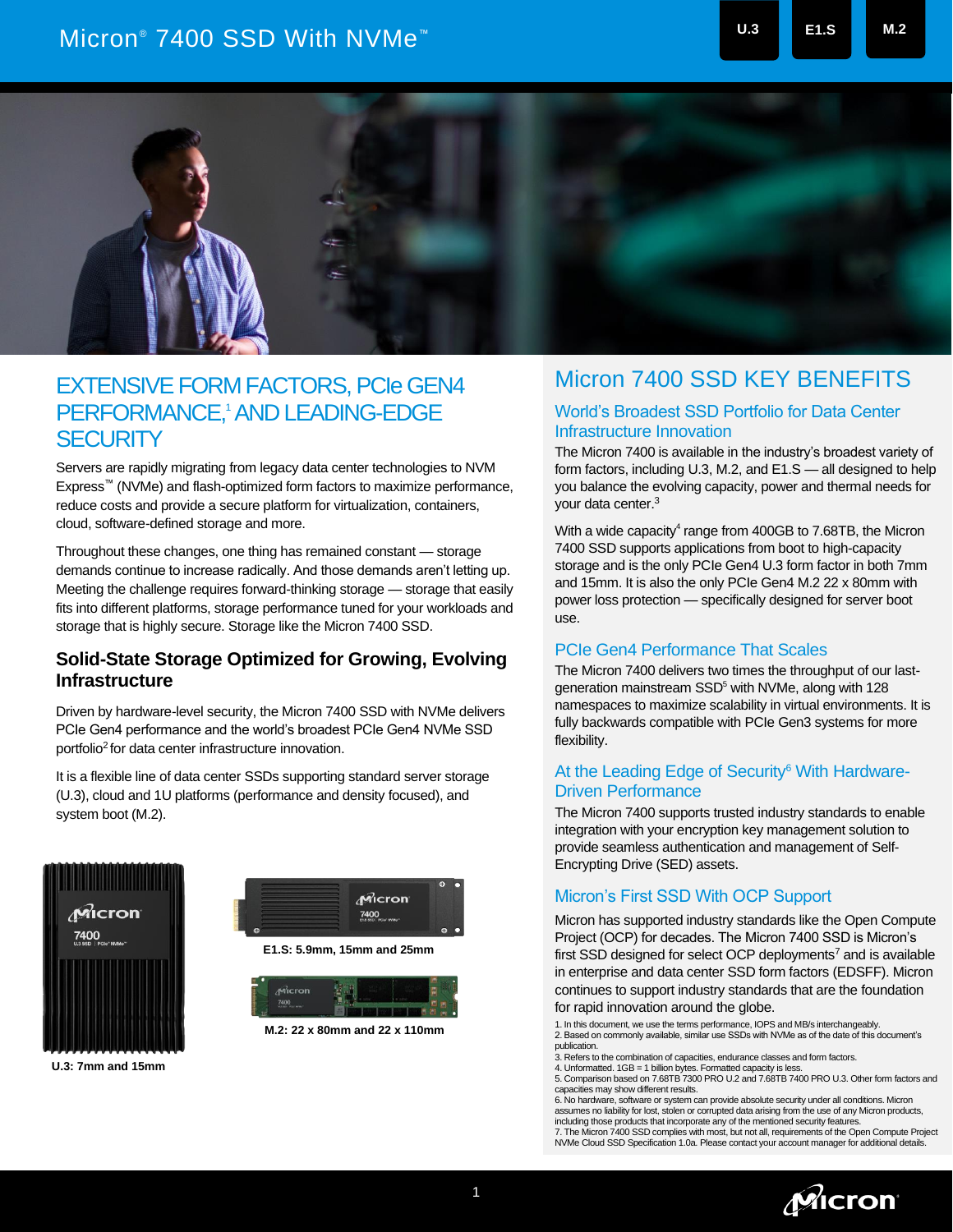# Micron® 7400 SSD With NVMe™ **U.3 E1.S M.2**



## **EXTENSIVE FORM FACTORS, PCIe GEN4** PERFORMANCE, <sup>1</sup>AND LEADING-EDGE **SECURITY**

Servers are rapidly migrating from legacy data center technologies to NVM Express™ (NVMe) and flash-optimized form factors to maximize performance, reduce costs and provide a secure platform for virtualization, containers, cloud, software-defined storage and more.

Throughout these changes, one thing has remained constant — storage demands continue to increase radically. And those demands aren't letting up. Meeting the challenge requires forward-thinking storage — storage that easily fits into different platforms, storage performance tuned for your workloads and storage that is highly secure. Storage like the Micron 7400 SSD.

#### **Solid-State Storage Optimized for Growing, Evolving Infrastructure**

Driven by hardware-level security, the Micron 7400 SSD with NVMe delivers PCIe Gen4 performance and the world's broadest PCIe Gen4 NVMe SSD portfolio<sup>2</sup> for data center infrastructure innovation.

It is a flexible line of data center SSDs supporting standard server storage (U.3), cloud and 1U platforms (performance and density focused), and system boot (M.2).



Micron 7400 **E1.S: 5.9mm, 15mm and 25mm** 

**M.2: 22 x 80mm and 22 x 110mm**

### Micron 7400 SSD KEY BENEFITS

#### World's Broadest SSD Portfolio for Data Center Infrastructure Innovation

The Micron 7400 is available in the industry's broadest variety of form factors, including U.3, M.2, and E1.S — all designed to help you balance the evolving capacity, power and thermal needs for your data center.<sup>3</sup>

With a wide capacity<sup>4</sup> range from 400GB to 7.68TB, the Micron 7400 SSD supports applications from boot to high-capacity storage and is the only PCIe Gen4 U.3 form factor in both 7mm and 15mm. It is also the only PCIe Gen4 M.2 22 x 80mm with power loss protection — specifically designed for server boot use.

#### PCIe Gen4 Performance That Scales

The Micron 7400 delivers two times the throughput of our lastgeneration mainstream SSD<sup>5</sup> with NVMe, along with 128 namespaces to maximize scalability in virtual environments. It is fully backwards compatible with PCIe Gen3 systems for more flexibility.

#### At the Leading Edge of Security<sup>6</sup> With Hardware-Driven Performance

The Micron 7400 supports trusted industry standards to enable integration with your encryption key management solution to provide seamless authentication and management of Self-Encrypting Drive (SED) assets.

#### Micron's First SSD With OCP Support

Micron has supported industry standards like the Open Compute Project (OCP) for decades. The Micron 7400 SSD is Micron's first SSD designed for select OCP deployments $7$  and is available in enterprise and data center SSD form factors (EDSFF). Micron continues to support industry standards that are the foundation for rapid innovation around the globe.

1. In this document, we use the terms performance, IOPS and MB/s interchangeably.

2. Based on commonly available, similar use SSDs with NVMe as of the date of this document's publication.

3. Refers to the combination of capacities, endurance classes and form factors.<br>4. Unformatted. 1GB = 1 billion bytes. Formatted capacity is less.<br>5. Comparison based on 7.68TB 7300 PRO U.2 and 7.68TB 7400 PRO U.3. Other f capacities may show different results.

6. No hardware, software or system can provide absolute security under all conditions. Micron assumes no liability for lost, stolen or corrupted data arising from the use of any Micron products, including those products that incorporate any of the mentioned security features. 7. The Micron 7400 SSD complies with most, but not all, requirements of the Open Compute Project NVMe Cloud SSD Specification 1.0a. Please contact your account manager for additional details.

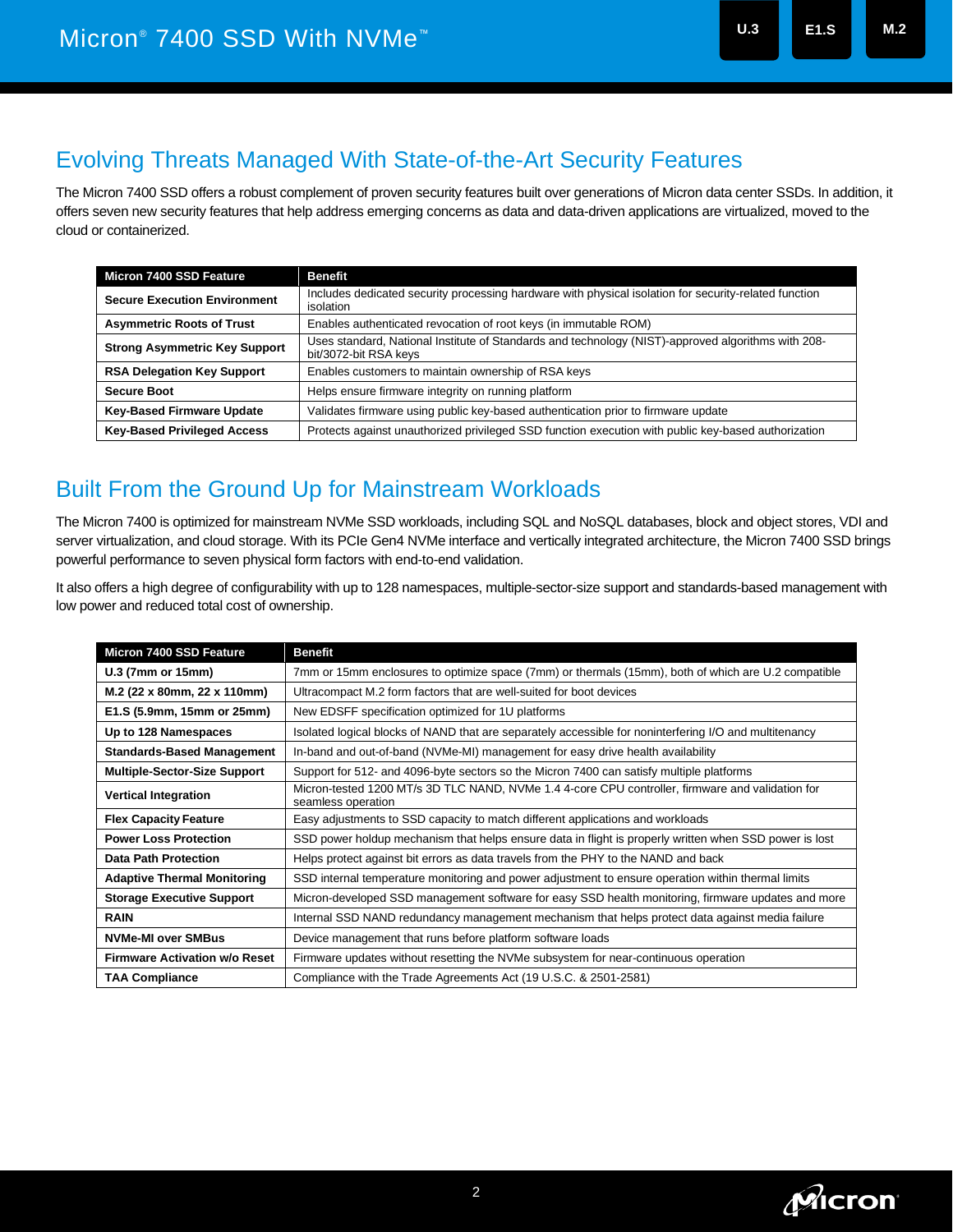## Evolving Threats Managed With State-of-the-Art Security Features

The Micron 7400 SSD offers a robust complement of proven security features built over generations of Micron data center SSDs. In addition, it offers seven new security features that help address emerging concerns as data and data-driven applications are virtualized, moved to the cloud or containerized.

| Micron 7400 SSD Feature              | <b>Benefit</b>                                                                                                              |
|--------------------------------------|-----------------------------------------------------------------------------------------------------------------------------|
| <b>Secure Execution Environment</b>  | Includes dedicated security processing hardware with physical isolation for security-related function<br>isolation          |
| <b>Asymmetric Roots of Trust</b>     | Enables authenticated revocation of root keys (in immutable ROM)                                                            |
| <b>Strong Asymmetric Key Support</b> | Uses standard, National Institute of Standards and technology (NIST)-approved algorithms with 208-<br>bit/3072-bit RSA keys |
| <b>RSA Delegation Key Support</b>    | Enables customers to maintain ownership of RSA keys                                                                         |
| <b>Secure Boot</b>                   | Helps ensure firmware integrity on running platform                                                                         |
| <b>Key-Based Firmware Update</b>     | Validates firmware using public key-based authentication prior to firmware update                                           |
| <b>Key-Based Privileged Access</b>   | Protects against unauthorized privileged SSD function execution with public key-based authorization                         |

# Built From the Ground Up for Mainstream Workloads

The Micron 7400 is optimized for mainstream NVMe SSD workloads, including SQL and NoSQL databases, block and object stores, VDI and server virtualization, and cloud storage. With its PCIe Gen4 NVMe interface and vertically integrated architecture, the Micron 7400 SSD brings powerful performance to seven physical form factors with end-to-end validation.

It also offers a high degree of configurability with up to 128 namespaces, multiple-sector-size support and standards-based management with low power and reduced total cost of ownership.

| <b>Micron 7400 SSD Feature</b>       | <b>Benefit</b>                                                                                                         |  |  |  |  |
|--------------------------------------|------------------------------------------------------------------------------------------------------------------------|--|--|--|--|
| U.3 (7mm or 15mm)                    | 7mm or 15mm enclosures to optimize space (7mm) or thermals (15mm), both of which are U.2 compatible                    |  |  |  |  |
| M.2 (22 x 80mm, 22 x 110mm)          | Ultracompact M.2 form factors that are well-suited for boot devices                                                    |  |  |  |  |
| E1.S (5.9mm, 15mm or 25mm)           | New EDSFF specification optimized for 1U platforms                                                                     |  |  |  |  |
| Up to 128 Namespaces                 | Isolated logical blocks of NAND that are separately accessible for noninterfering I/O and multitenancy                 |  |  |  |  |
| <b>Standards-Based Management</b>    | In-band and out-of-band (NVMe-MI) management for easy drive health availability                                        |  |  |  |  |
| <b>Multiple-Sector-Size Support</b>  | Support for 512- and 4096-byte sectors so the Micron 7400 can satisfy multiple platforms                               |  |  |  |  |
| <b>Vertical Integration</b>          | Micron-tested 1200 MT/s 3D TLC NAND, NVMe 1.4 4-core CPU controller, firmware and validation for<br>seamless operation |  |  |  |  |
| <b>Flex Capacity Feature</b>         | Easy adjustments to SSD capacity to match different applications and workloads                                         |  |  |  |  |
| <b>Power Loss Protection</b>         | SSD power holdup mechanism that helps ensure data in flight is properly written when SSD power is lost                 |  |  |  |  |
| <b>Data Path Protection</b>          | Helps protect against bit errors as data travels from the PHY to the NAND and back                                     |  |  |  |  |
| <b>Adaptive Thermal Monitoring</b>   | SSD internal temperature monitoring and power adjustment to ensure operation within thermal limits                     |  |  |  |  |
| <b>Storage Executive Support</b>     | Micron-developed SSD management software for easy SSD health monitoring, firmware updates and more                     |  |  |  |  |
| <b>RAIN</b>                          | Internal SSD NAND redundancy management mechanism that helps protect data against media failure                        |  |  |  |  |
| <b>NVMe-MI over SMBus</b>            | Device management that runs before platform software loads                                                             |  |  |  |  |
| <b>Firmware Activation w/o Reset</b> | Firmware updates without resetting the NVMe subsystem for near-continuous operation                                    |  |  |  |  |
| <b>TAA Compliance</b>                | Compliance with the Trade Agreements Act (19 U.S.C. & 2501-2581)                                                       |  |  |  |  |

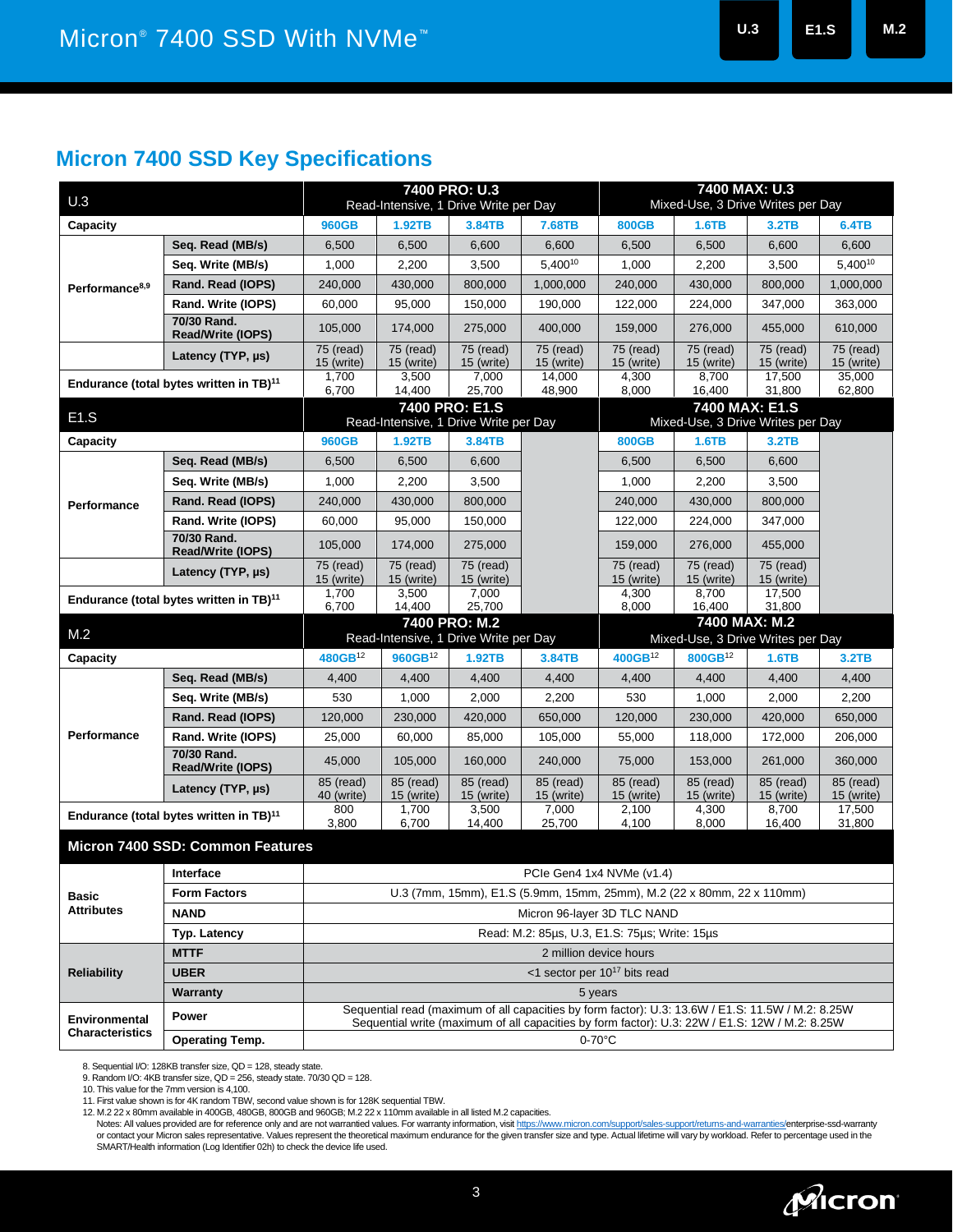## **Micron 7400 SSD Key Specifications**

|                                                     |                                   | 7400 PRO: U.3                                                                                     |                                      |                                                 |                                   | 7400 MAX: U.3                                       |                         |                           |                         |  |
|-----------------------------------------------------|-----------------------------------|---------------------------------------------------------------------------------------------------|--------------------------------------|-------------------------------------------------|-----------------------------------|-----------------------------------------------------|-------------------------|---------------------------|-------------------------|--|
| U.3                                                 |                                   | Read-Intensive, 1 Drive Write per Day                                                             |                                      |                                                 | Mixed-Use, 3 Drive Writes per Day |                                                     |                         |                           |                         |  |
| Capacity                                            |                                   | 960GB                                                                                             | 1.92TB                               | 3.84TB                                          | 7.68TB                            | <b>800GB</b>                                        | 1.6TB                   | 3.2TB                     | 6.4TB                   |  |
| Performance <sup>8,9</sup>                          | Seq. Read (MB/s)                  | 6,500                                                                                             | 6,500                                | 6,600                                           | 6,600                             | 6,500                                               | 6,500                   | 6,600                     | 6,600                   |  |
|                                                     | Seq. Write (MB/s)                 | 1,000                                                                                             | 2,200                                | 3,500                                           | 5,40010                           | 1,000                                               | 2,200                   | 3,500                     | 5,40010                 |  |
|                                                     | Rand. Read (IOPS)                 | 240,000                                                                                           | 430,000                              | 800,000                                         | 1,000,000                         | 240,000                                             | 430,000                 | 800,000                   | 1,000,000               |  |
|                                                     | Rand. Write (IOPS)                | 60,000                                                                                            | 95,000                               | 150,000                                         | 190,000                           | 122,000                                             | 224,000                 | 347,000                   | 363,000                 |  |
|                                                     | 70/30 Rand.<br>Read/Write (IOPS)  | 105,000                                                                                           | 174,000                              | 275,000                                         | 400,000                           | 159,000                                             | 276,000                 | 455,000                   | 610,000                 |  |
|                                                     | Latency (TYP, µs)                 | 75 (read)<br>15 (write)                                                                           | 75 (read)<br>15 (write)              | 75 (read)<br>15 (write)                         | 75 (read)<br>15 (write)           | 75 (read)<br>15 (write)                             | 75 (read)<br>15 (write) | 75 (read)<br>15 (write)   | 75 (read)<br>15 (write) |  |
| Endurance (total bytes written in TB) <sup>11</sup> |                                   | 1,700<br>6,700                                                                                    | 3,500<br>14,400                      | 7,000<br>25,700                                 | 14,000<br>48,900                  | 4,300<br>8,000                                      | 8,700<br>16,400         | 17,500<br>31,800          | 35,000<br>62,800        |  |
| E1.S                                                |                                   |                                                                                                   |                                      | 7400 PRO: E1.S                                  |                                   | 7400 MAX: E1.S<br>Mixed-Use, 3 Drive Writes per Day |                         |                           |                         |  |
|                                                     |                                   | 960GB                                                                                             | 1.92TB                               | Read-Intensive, 1 Drive Write per Day<br>3.84TB |                                   | <b>800GB</b>                                        | 1.6TB                   | 3.2TB                     |                         |  |
| Capacity                                            |                                   |                                                                                                   |                                      |                                                 |                                   |                                                     |                         |                           |                         |  |
|                                                     | Seq. Read (MB/s)                  | 6,500                                                                                             | 6,500                                | 6,600                                           |                                   | 6,500                                               | 6,500                   | 6,600                     |                         |  |
|                                                     | Seq. Write (MB/s)                 | 1,000                                                                                             | 2,200                                | 3,500                                           |                                   | 1,000                                               | 2,200                   | 3,500                     |                         |  |
| Performance                                         | Rand. Read (IOPS)                 | 240,000                                                                                           | 430,000                              | 800,000                                         |                                   | 240,000                                             | 430,000                 | 800,000                   |                         |  |
|                                                     | Rand. Write (IOPS)<br>70/30 Rand. | 60,000                                                                                            | 95.000                               | 150,000                                         |                                   | 122,000                                             | 224,000                 | 347,000                   |                         |  |
|                                                     | <b>Read/Write (IOPS)</b>          | 105,000                                                                                           | 174,000                              | 275,000                                         |                                   | 159,000                                             | 276,000                 | 455,000                   |                         |  |
|                                                     | Latency (TYP, µs)                 | 75 (read)<br>15 (write)                                                                           | $\overline{75}$ (read)<br>15 (write) | 75 (read)<br>15 (write)                         |                                   | 75 (read)<br>15 (write)                             | 75 (read)<br>15 (write) | $75$ (read)<br>15 (write) |                         |  |
| Endurance (total bytes written in TB) <sup>11</sup> |                                   | 1,700<br>6,700                                                                                    | 3,500<br>14,400                      | 7,000<br>25,700                                 |                                   | 4,300<br>8,000                                      | 8,700<br>16,400         | 17.500<br>31,800          |                         |  |
| M.2                                                 |                                   | 7400 PRO: M.2                                                                                     |                                      |                                                 |                                   | 7400 MAX: M.2                                       |                         |                           |                         |  |
|                                                     |                                   | Read-Intensive, 1 Drive Write per Day                                                             |                                      |                                                 |                                   | Mixed-Use, 3 Drive Writes per Day                   |                         |                           |                         |  |
| Capacity                                            |                                   | 480GB <sup>12</sup>                                                                               | 960GB <sup>12</sup>                  | 1.92TB                                          | 3.84TB                            | 400GB <sup>12</sup>                                 | 800GB <sup>12</sup>     | 1.6TB                     | 3.2TB                   |  |
|                                                     | Seq. Read (MB/s)                  | 4,400                                                                                             | 4,400                                | 4,400                                           | 4,400                             | 4,400                                               | 4,400                   | 4,400                     | 4,400                   |  |
|                                                     | Seq. Write (MB/s)                 | 530                                                                                               | 1,000                                | 2,000                                           | 2,200                             | 530                                                 | 1,000                   | 2,000                     | 2,200                   |  |
|                                                     | Rand. Read (IOPS)                 | 120,000                                                                                           | 230,000                              | 420,000                                         | 650,000                           | 120,000                                             | 230,000                 | 420,000                   | 650,000                 |  |
| <b>Performance</b>                                  | Rand. Write (IOPS)                | 25,000                                                                                            | 60,000                               | 85,000                                          | 105,000                           | 55,000                                              | 118,000                 | 172,000                   | 206,000                 |  |
|                                                     | 70/30 Rand.<br>Read/Write (IOPS)  | 45,000                                                                                            | 105,000                              | 160,000                                         | 240,000                           | 75,000                                              | 153,000                 | 261,000                   | 360,000                 |  |
|                                                     | Latency (TYP, µs)                 | $85$ (read)<br>40 (write)                                                                         | 85 (read)<br>15 (write)              | 85 (read)<br>15 (write)                         | 85 (read)<br>15 (write)           | 85 (read)<br>15 (write)                             | 85 (read)<br>15 (write) | 85 (read)<br>15 (write)   | 85 (read)<br>15 (write) |  |
| Endurance (total bytes written in TB) <sup>11</sup> |                                   | 800<br>3,800                                                                                      | 1,700<br>6,700                       | 3,500<br>14,400                                 | 7,000<br>25,700                   | 2,100<br>4,100                                      | 4,300<br>8,000          | 8,700<br>16,400           | 17,500<br>31,800        |  |
|                                                     | Micron 7400 SSD: Common Features  |                                                                                                   |                                      |                                                 |                                   |                                                     |                         |                           |                         |  |
|                                                     | Interface                         | PCIe Gen4 1x4 NVMe (v1.4)                                                                         |                                      |                                                 |                                   |                                                     |                         |                           |                         |  |
| Basic                                               | <b>Form Factors</b>               | U.3 (7mm, 15mm), E1.S (5.9mm, 15mm, 25mm), M.2 (22 x 80mm, 22 x 110mm)                            |                                      |                                                 |                                   |                                                     |                         |                           |                         |  |
| <b>Attributes</b>                                   | <b>NAND</b>                       | Micron 96-layer 3D TLC NAND                                                                       |                                      |                                                 |                                   |                                                     |                         |                           |                         |  |
|                                                     | <b>Typ. Latency</b>               | Read: M.2: 85µs, U.3, E1.S: 75µs; Write: 15µs                                                     |                                      |                                                 |                                   |                                                     |                         |                           |                         |  |
| <b>Reliability</b>                                  | <b>MTTF</b>                       | 2 million device hours                                                                            |                                      |                                                 |                                   |                                                     |                         |                           |                         |  |
|                                                     | <b>UBER</b>                       | <1 sector per 10 <sup>17</sup> bits read                                                          |                                      |                                                 |                                   |                                                     |                         |                           |                         |  |
|                                                     | Warranty                          | 5 years                                                                                           |                                      |                                                 |                                   |                                                     |                         |                           |                         |  |
| Environmental                                       | Power                             | Sequential read (maximum of all capacities by form factor): U.3: 13.6W / E1.S: 11.5W / M.2: 8.25W |                                      |                                                 |                                   |                                                     |                         |                           |                         |  |
| Characteristics                                     | <b>Operating Temp.</b>            | Sequential write (maximum of all capacities by form factor): U.3: 22W / E1.S: 12W / M.2: 8.25W    |                                      |                                                 |                                   |                                                     |                         |                           |                         |  |
|                                                     |                                   | $0-70$ °C                                                                                         |                                      |                                                 |                                   |                                                     |                         |                           |                         |  |

8. Sequential I/O: 128KB transfer size, QD = 128, steady state.

9. Random I/O: 4KB transfer size, QD = 256, steady state. 70/30 QD = 128. 10. This value for the 7mm version is 4,100.

11. First value shown is for 4K random TBW, second value shown is for 128K sequential TBW.

12. M.2 22 x 80mm available in 400GB, 480GB, 800GB and 960GB; M.2 22 x 110mm available in all listed M.2 capacities.

Notes: All values provided are for reference only and are not warrantied values. For warranty information, visi[t https://www.micron.com/support/sales-support/returns-and-warranties/e](https://www.micron.com/support/sales-support/returns-and-warranties/)nterprise-ssd-warranty or contact your Micron sales representative. Values represent the theoretical maximum endurance for the given transfer size and type. Actual lifetime will vary by workload. Refer to percentage used in the<br>SMART/Health info